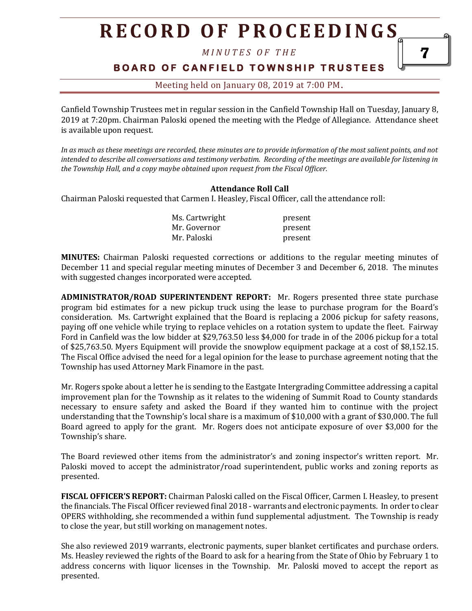*M I N U T E S O F T H E* 

#### **BOARD OF CANFIELD TOWNSHIP TRUSTEES**

#### Meeting held on January 08, 2019 at 7:00 PM**.**

Canfield Township Trustees met in regular session in the Canfield Township Hall on Tuesday, January 8, 2019 at 7:20pm. Chairman Paloski opened the meeting with the Pledge of Allegiance. Attendance sheet is available upon request.

*In as much as these meetings are recorded, these minutes are to provide information of the most salient points, and not intended to describe all conversations and testimony verbatim. Recording of the meetings are available for listening in the Township Hall, and a copy maybe obtained upon request from the Fiscal Officer.* 

#### **Attendance Roll Call**

Chairman Paloski requested that Carmen I. Heasley, Fiscal Officer, call the attendance roll:

| Ms. Cartwright | present |
|----------------|---------|
| Mr. Governor   | present |
| Mr. Paloski    | present |

**MINUTES:** Chairman Paloski requested corrections or additions to the regular meeting minutes of December 11 and special regular meeting minutes of December 3 and December 6, 2018. The minutes with suggested changes incorporated were accepted.

**ADMINISTRATOR/ROAD SUPERINTENDENT REPORT:** Mr. Rogers presented three state purchase program bid estimates for a new pickup truck using the lease to purchase program for the Board's consideration. Ms. Cartwright explained that the Board is replacing a 2006 pickup for safety reasons, paying off one vehicle while trying to replace vehicles on a rotation system to update the fleet. Fairway Ford in Canfield was the low bidder at \$29,763.50 less \$4,000 for trade in of the 2006 pickup for a total of \$25,763.50. Myers Equipment will provide the snowplow equipment package at a cost of \$8,152.15. The Fiscal Office advised the need for a legal opinion for the lease to purchase agreement noting that the Township has used Attorney Mark Finamore in the past.

Mr. Rogers spoke about a letter he is sending to the Eastgate Intergrading Committee addressing a capital improvement plan for the Township as it relates to the widening of Summit Road to County standards necessary to ensure safety and asked the Board if they wanted him to continue with the project understanding that the Township's local share is a maximum of \$10,000 with a grant of \$30,000. The full Board agreed to apply for the grant. Mr. Rogers does not anticipate exposure of over \$3,000 for the Township's share.

The Board reviewed other items from the administrator's and zoning inspector's written report. Mr. Paloski moved to accept the administrator/road superintendent, public works and zoning reports as presented.

**FISCAL OFFICER'S REPORT:** Chairman Paloski called on the Fiscal Officer, Carmen I. Heasley, to present the financials. The Fiscal Officer reviewed final 2018 - warrants and electronic payments. In order to clear OPERS withholding, she recommended a within fund supplemental adjustment. The Township is ready to close the year, but still working on management notes.

She also reviewed 2019 warrants, electronic payments, super blanket certificates and purchase orders. Ms. Heasley reviewed the rights of the Board to ask for a hearing from the State of Ohio by February 1 to address concerns with liquor licenses in the Township. Mr. Paloski moved to accept the report as presented.

7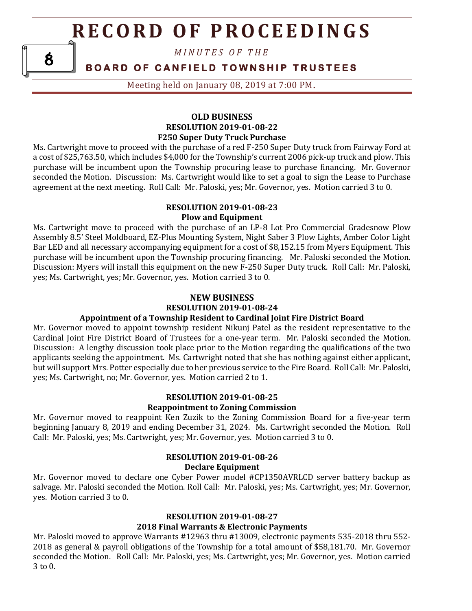*M I N U T E S O F T H E* 

8

**BOARD OF CANFIELD TOWNSHIP TRUSTEES** 

Meeting held on January 08, 2019 at 7:00 PM**.**

#### **OLD BUSINESS RESOLUTION 2019-01-08-22 F250 Super Duty Truck Purchase**

Ms. Cartwright move to proceed with the purchase of a red F-250 Super Duty truck from Fairway Ford at a cost of \$25,763.50, which includes \$4,000 for the Township's current 2006 pick-up truck and plow. This purchase will be incumbent upon the Township procuring lease to purchase financing. Mr. Governor seconded the Motion. Discussion: Ms. Cartwright would like to set a goal to sign the Lease to Purchase agreement at the next meeting. Roll Call: Mr. Paloski, yes; Mr. Governor, yes. Motion carried 3 to 0.

#### **RESOLUTION 2019-01-08-23 Plow and Equipment**

Ms. Cartwright move to proceed with the purchase of an LP-8 Lot Pro Commercial Gradesnow Plow Assembly 8.5' Steel Moldboard, EZ-Plus Mounting System, Night Saber 3 Plow Lights, Amber Color Light Bar LED and all necessary accompanying equipment for a cost of \$8,152.15 from Myers Equipment. This purchase will be incumbent upon the Township procuring financing. Mr. Paloski seconded the Motion. Discussion: Myers will install this equipment on the new F-250 Super Duty truck. Roll Call: Mr. Paloski, yes; Ms. Cartwright, yes; Mr. Governor, yes. Motion carried 3 to 0.

#### **NEW BUSINESS RESOLUTION 2019-01-08-24**

#### **Appointment of a Township Resident to Cardinal Joint Fire District Board**

Mr. Governor moved to appoint township resident Nikunj Patel as the resident representative to the Cardinal Joint Fire District Board of Trustees for a one-year term. Mr. Paloski seconded the Motion. Discussion: A lengthy discussion took place prior to the Motion regarding the qualifications of the two applicants seeking the appointment. Ms. Cartwright noted that she has nothing against either applicant, but will support Mrs. Potter especially due to her previous service to the Fire Board. Roll Call: Mr. Paloski, yes; Ms. Cartwright, no; Mr. Governor, yes. Motion carried 2 to 1.

#### **RESOLUTION 2019-01-08-25 Reappointment to Zoning Commission**

Mr. Governor moved to reappoint Ken Zuzik to the Zoning Commission Board for a five-year term beginning January 8, 2019 and ending December 31, 2024. Ms. Cartwright seconded the Motion. Roll Call: Mr. Paloski, yes; Ms. Cartwright, yes; Mr. Governor, yes. Motion carried 3 to 0.

#### **RESOLUTION 2019-01-08-26 Declare Equipment**

Mr. Governor moved to declare one Cyber Power model #CP1350AVRLCD server battery backup as salvage. Mr. Paloski seconded the Motion. Roll Call: Mr. Paloski, yes; Ms. Cartwright, yes; Mr. Governor, yes. Motion carried 3 to 0.

#### **RESOLUTION 2019-01-08-27 2018 Final Warrants & Electronic Payments**

Mr. Paloski moved to approve Warrants #12963 thru #13009, electronic payments 535-2018 thru 552- 2018 as general & payroll obligations of the Township for a total amount of \$58,181.70. Mr. Governor seconded the Motion. Roll Call: Mr. Paloski, yes; Ms. Cartwright, yes; Mr. Governor, yes. Motion carried 3 to 0.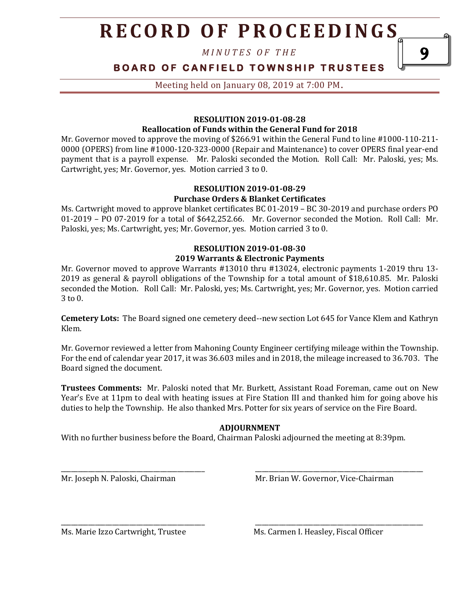*M I N U T E S O F T H E* 

#### **BOARD OF CANFIELD TOWNSHIP TRUSTEES**

Meeting held on January 08, 2019 at 7:00 PM**.**

#### **RESOLUTION 2019-01-08-28 Reallocation of Funds within the General Fund for 2018**

Mr. Governor moved to approve the moving of \$266.91 within the General Fund to line #1000-110-211- 0000 (OPERS) from line #1000-120-323-0000 (Repair and Maintenance) to cover OPERS final year-end payment that is a payroll expense. Mr. Paloski seconded the Motion. Roll Call: Mr. Paloski, yes; Ms. Cartwright, yes; Mr. Governor, yes. Motion carried 3 to 0.

#### **RESOLUTION 2019-01-08-29 Purchase Orders & Blanket Certificates**

Ms. Cartwright moved to approve blanket certificates BC 01-2019 – BC 30-2019 and purchase orders PO 01-2019 – PO 07-2019 for a total of \$642,252.66. Mr. Governor seconded the Motion. Roll Call: Mr. Paloski, yes; Ms. Cartwright, yes; Mr. Governor, yes. Motion carried 3 to 0.

#### **RESOLUTION 2019-01-08-30 2019 Warrants & Electronic Payments**

Mr. Governor moved to approve Warrants #13010 thru #13024, electronic payments 1-2019 thru 13- 2019 as general & payroll obligations of the Township for a total amount of \$18,610.85. Mr. Paloski seconded the Motion. Roll Call: Mr. Paloski, yes; Ms. Cartwright, yes; Mr. Governor, yes. Motion carried 3 to 0.

**Cemetery Lots:** The Board signed one cemetery deed--new section Lot 645 for Vance Klem and Kathryn Klem.

Mr. Governor reviewed a letter from Mahoning County Engineer certifying mileage within the Township. For the end of calendar year 2017, it was 36.603 miles and in 2018, the mileage increased to 36.703. The Board signed the document.

**Trustees Comments:** Mr. Paloski noted that Mr. Burkett, Assistant Road Foreman, came out on New Year's Eve at 11pm to deal with heating issues at Fire Station III and thanked him for going above his duties to help the Township. He also thanked Mrs. Potter for six years of service on the Fire Board.

#### **ADJOURNMENT**

\_\_\_\_\_\_\_\_\_\_\_\_\_\_\_\_\_\_\_\_\_\_\_\_\_\_\_\_\_\_\_\_\_\_\_\_\_\_\_\_\_\_ \_\_\_\_\_\_\_\_\_\_\_\_\_\_\_\_\_\_\_\_\_\_\_\_\_\_\_\_\_\_\_\_\_\_\_\_\_\_\_\_\_\_\_\_\_\_\_\_\_

\_\_\_\_\_\_\_\_\_\_\_\_\_\_\_\_\_\_\_\_\_\_\_\_\_\_\_\_\_\_\_\_\_\_\_\_\_\_\_\_\_\_ \_\_\_\_\_\_\_\_\_\_\_\_\_\_\_\_\_\_\_\_\_\_\_\_\_\_\_\_\_\_\_\_\_\_\_\_\_\_\_\_\_\_\_\_\_\_\_\_\_

With no further business before the Board, Chairman Paloski adjourned the meeting at 8:39pm.

Mr. Joseph N. Paloski, Chairman Mr. Brian W. Governor, Vice-Chairman

Ms. Marie Izzo Cartwright, Trustee Ms. Carmen I. Heasley, Fiscal Officer

9